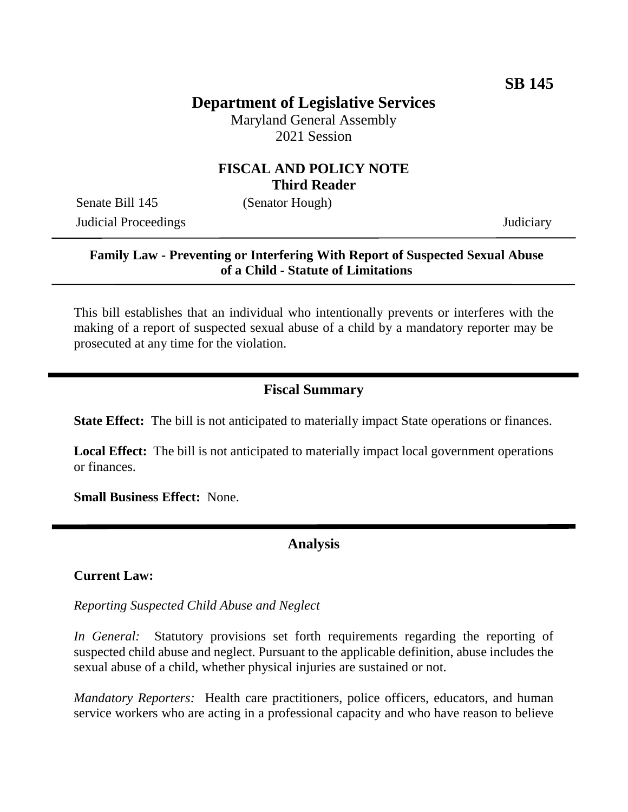# **Department of Legislative Services**

Maryland General Assembly 2021 Session

### **FISCAL AND POLICY NOTE Third Reader**

Senate Bill 145 (Senator Hough)

Judicial Proceedings Judiciary

### **Family Law - Preventing or Interfering With Report of Suspected Sexual Abuse of a Child - Statute of Limitations**

This bill establishes that an individual who intentionally prevents or interferes with the making of a report of suspected sexual abuse of a child by a mandatory reporter may be prosecuted at any time for the violation.

### **Fiscal Summary**

**State Effect:** The bill is not anticipated to materially impact State operations or finances.

**Local Effect:** The bill is not anticipated to materially impact local government operations or finances.

**Small Business Effect:** None.

### **Analysis**

#### **Current Law:**

*Reporting Suspected Child Abuse and Neglect*

*In General:* Statutory provisions set forth requirements regarding the reporting of suspected child abuse and neglect. Pursuant to the applicable definition, abuse includes the sexual abuse of a child, whether physical injuries are sustained or not.

*Mandatory Reporters:* Health care practitioners, police officers, educators, and human service workers who are acting in a professional capacity and who have reason to believe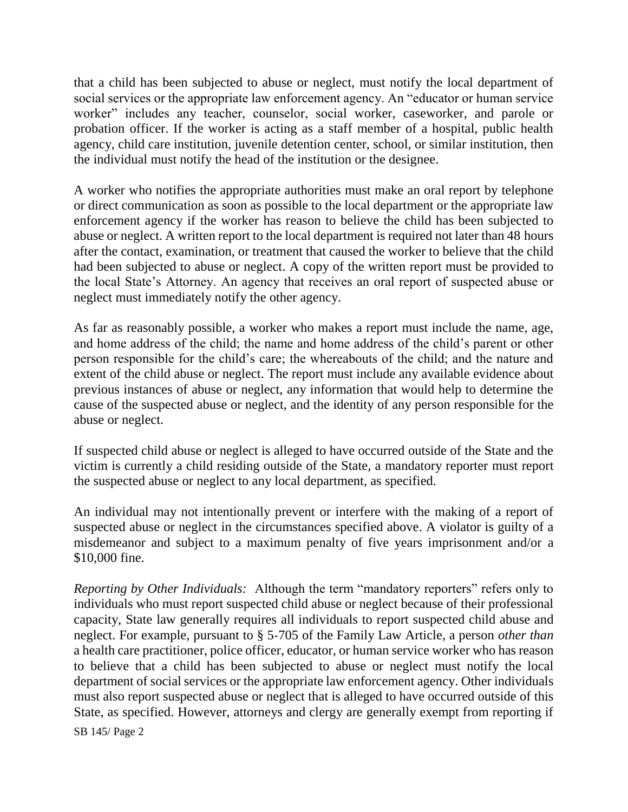that a child has been subjected to abuse or neglect, must notify the local department of social services or the appropriate law enforcement agency. An "educator or human service worker" includes any teacher, counselor, social worker, caseworker, and parole or probation officer. If the worker is acting as a staff member of a hospital, public health agency, child care institution, juvenile detention center, school, or similar institution, then the individual must notify the head of the institution or the designee.

A worker who notifies the appropriate authorities must make an oral report by telephone or direct communication as soon as possible to the local department or the appropriate law enforcement agency if the worker has reason to believe the child has been subjected to abuse or neglect. A written report to the local department is required not later than 48 hours after the contact, examination, or treatment that caused the worker to believe that the child had been subjected to abuse or neglect. A copy of the written report must be provided to the local State's Attorney. An agency that receives an oral report of suspected abuse or neglect must immediately notify the other agency.

As far as reasonably possible, a worker who makes a report must include the name, age, and home address of the child; the name and home address of the child's parent or other person responsible for the child's care; the whereabouts of the child; and the nature and extent of the child abuse or neglect. The report must include any available evidence about previous instances of abuse or neglect, any information that would help to determine the cause of the suspected abuse or neglect, and the identity of any person responsible for the abuse or neglect.

If suspected child abuse or neglect is alleged to have occurred outside of the State and the victim is currently a child residing outside of the State, a mandatory reporter must report the suspected abuse or neglect to any local department, as specified.

An individual may not intentionally prevent or interfere with the making of a report of suspected abuse or neglect in the circumstances specified above. A violator is guilty of a misdemeanor and subject to a maximum penalty of five years imprisonment and/or a \$10,000 fine.

*Reporting by Other Individuals:* Although the term "mandatory reporters" refers only to individuals who must report suspected child abuse or neglect because of their professional capacity, State law generally requires all individuals to report suspected child abuse and neglect. For example, pursuant to § 5-705 of the Family Law Article, a person *other than* a health care practitioner, police officer, educator, or human service worker who has reason to believe that a child has been subjected to abuse or neglect must notify the local department of social services or the appropriate law enforcement agency. Other individuals must also report suspected abuse or neglect that is alleged to have occurred outside of this State, as specified. However, attorneys and clergy are generally exempt from reporting if